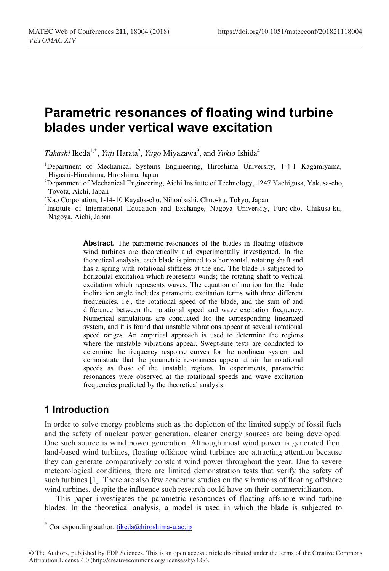# **Parametric resonances of floating wind turbine** blades under vertical wave excitation

Takashi Ikeda<sup>1,\*</sup>, *Yuji* Harata<sup>2</sup>, *Yugo* Miyazawa<sup>3</sup>, and *Yukio* Ishida<sup>4</sup>

<sup>1</sup>Department of Mechanical Systems Engineering, Hiroshima University, 1-4-1 Kagamiyama, Higashi-Hiroshima, Hiroshima, Japan

<sup>2</sup>Department of Mechanical Engineering, Aichi Institute of Technology, 1247 Yachigusa, Yakusa-cho, Toyota, Aichi, Japan

3 Kao Corporation, 1-14-10 Kayaba-cho, Nihonbashi, Chuo-ku, Tokyo, Japan

4 Institute of International Education and Exchange, Nagoya University, Furo-cho, Chikusa-ku, Nagoya, Aichi, Japan

> **Abstract.** The parametric resonances of the blades in floating offshore wind turbines are theoretically and experimentally investigated. In the theoretical analysis, each blade is pinned to a horizontal, rotating shaft and has a spring with rotational stiffness at the end. The blade is subjected to horizontal excitation which represents winds; the rotating shaft to vertical excitation which represents waves. The equation of motion for the blade inclination angle includes parametric excitation terms with three different frequencies, i.e., the rotational speed of the blade, and the sum of and difference between the rotational speed and wave excitation frequency. Numerical simulations are conducted for the corresponding linearized system, and it is found that unstable vibrations appear at several rotational speed ranges. An empirical approach is used to determine the regions where the unstable vibrations appear. Swept-sine tests are conducted to determine the frequency response curves for the nonlinear system and demonstrate that the parametric resonances appear at similar rotational speeds as those of the unstable regions. In experiments, parametric resonances were observed at the rotational speeds and wave excitation frequencies predicted by the theoretical analysis.

# 1 Introduction

j

In order to solve energy problems such as the depletion of the limited supply of fossil fuels and the safety of nuclear power generation, cleaner energy sources are being developed. One such source is wind power generation. Although most wind power is generated from land-based wind turbines, floating offshore wind turbines are attracting attention because they can generate comparatively constant wind power throughout the year. Due to severe meteorological conditions, there are limited demonstration tests that verify the safety of such turbines [1]. There are also few academic studies on the vibrations of floating offshore wind turbines, despite the influence such research could have on their commercialization.

This paper investigates the parametric resonances of floating offshore wind turbine blades. In the theoretical analysis, a model is used in which the blade is subjected to

Corresponding author: tikeda@hiroshima-u.ac.jp

<sup>©</sup> The Authors, published by EDP Sciences. This is an open access article distributed under the terms of the Creative Commons Attribution License 4.0 (http://creativecommons.org/licenses/by/4.0/).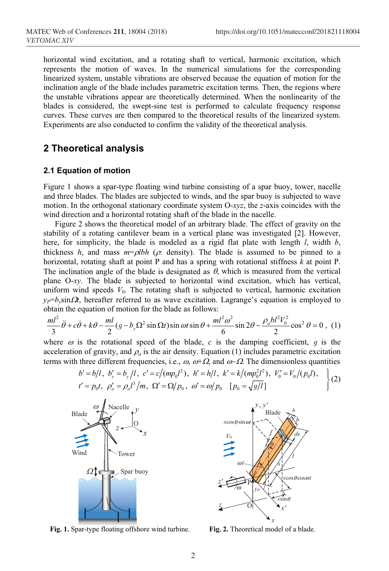horizontal wind excitation, and a rotating shaft to vertical, harmonic excitation, which represents the motion of waves. In the numerical simulations for the corresponding linearized system, unstable vibrations are observed because the equation of motion for the inclination angle of the blade includes parametric excitation terms. Then, the regions where the unstable vibrations appear are theoretically determined. When the nonlinearity of the blades is considered, the swept-sine test is performed to calculate frequency response curves. These curves are then compared to the theoretical results of the linearized system. Experiments are also conducted to confirm the validity of the theoretical analysis.

# 2 Theoretical analysis

#### 2.1 Equation of motion

Figure 1 shows a spar-type floating wind turbine consisting of a spar buoy, tower, nacelle and three blades. The blades are subjected to winds, and the spar buoy is subjected to wave motion. In the orthogonal stationary coordinate system O-*xyz*, the *z*-axis coincides with the wind direction and a horizontal rotating shaft of the blade in the nacelle.

Figure 2 shows the theoretical model of an arbitrary blade. The effect of gravity on the stability of a rotating cantilever beam in a vertical plane was investigated [2]. However, here, for simplicity, the blade is modeled as a rigid flat plate with length *l*, width *b*, thickness *h*, and mass  $m = \rho l b h$  ( $\rho$ : density). The blade is assumed to be pinned to a horizontal, rotating shaft at point P and has a spring with rotational stiffness *k* at point P. The inclination angle of the blade is designated as  $\theta$ , which is measured from the vertical plane O-*xy*. The blade is subjected to horizontal wind excitation, which has vertical, uniform wind speeds  $V_0$ . The rotating shaft is subjected to vertical, harmonic excitation  $y_P = b_v \sin \Omega t$ , hereafter referred to as wave excitation. Lagrange's equation is employed to obtain the equation of motion for the blade as follows:

$$
\frac{ml^2}{3}\ddot{\theta} + c\dot{\theta} + k\theta - \frac{ml}{2}(g - b_y\Omega^2 \sin \Omega t) \sin \omega t \sin \theta + \frac{ml^2\omega^2}{6}\sin 2\theta - \frac{\rho_a bl^2V_0^2}{2}\cos^2 \theta = 0
$$
, (1)

where  $\omega$  is the rotational speed of the blade,  $c$  is the damping coefficient,  $q$  is the acceleration of gravity, and  $\rho_a$  is the air density. Equation (1) includes parametric excitation terms with three different frequencies, i.e.,  $\omega$ ,  $\omega+\Omega$ , and  $\omega-\Omega$ . The dimensionless quantities

$$
b' = b/l, b'_y = b_y/l, c' = c/(mp_0 l^2), h' = h/l, k' = k/(mp_0^2 l^2), V'_0 = V_0/(p_0 l),
$$
  

$$
t' = p_0 t, \rho'_a = \rho_a l^3/m, \Omega' = \Omega/p_0, \omega' = \omega/p_0 \quad [p_0 = \sqrt{g/l}]
$$
 (2)



Fig. 1. Spar-type floating offshore wind turbine. Fig. 2. Theoretical model of a blade.

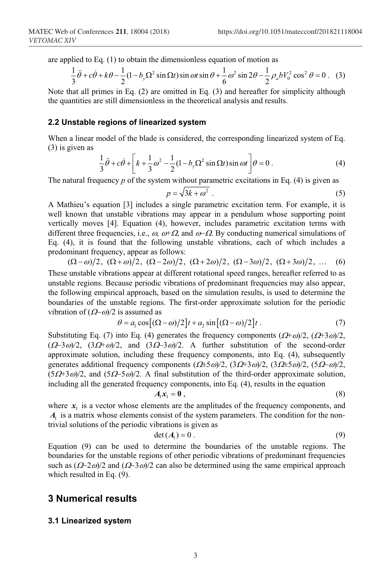are applied to Eq. (1) to obtain the dimensionless equation of motion as

$$
\frac{1}{3}\ddot{\theta} + c\dot{\theta} + k\theta - \frac{1}{2}(1 - b_y\Omega^2 \sin \Omega t) \sin \omega t \sin \theta + \frac{1}{6}\omega^2 \sin 2\theta - \frac{1}{2}\rho_a bV_0^2 \cos^2 \theta = 0.
$$
 (3)

Note that all primes in Eq. (2) are omitted in Eq. (3) and hereafter for simplicity although the quantities are still dimensionless in the theoretical analysis and results.

#### 2.2 Unstable regions of linearized system

When a linear model of the blade is considered, the corresponding linearized system of Eq. (3) is given as

$$
\frac{1}{3}\ddot{\theta} + c\dot{\theta} + \left[k + \frac{1}{3}\omega^2 - \frac{1}{2}(1 - b_y\Omega^2\sin\Omega t)\sin\omega t\right]\theta = 0.
$$
 (4)

The natural frequency *p* of the system without parametric excitations in Eq. (4) is given as

$$
p = \sqrt{3k + \omega^2} \tag{5}
$$

A Mathieu's equation [3] includes a single parametric excitation term. For example, it is well known that unstable vibrations may appear in a pendulum whose supporting point vertically moves [4]. Equation (4), however, includes parametric excitation terms with different three frequencies, i.e.,  $\omega$ ,  $\omega$ + $\Omega$ , and  $\omega$ - $\Omega$ . By conducting numerical simulations of Eq. (4), it is found that the following unstable vibrations, each of which includes a predominant frequency, appear as follows:

$$
(\Omega - \omega)/2
$$
,  $(\Omega + \omega)/2$ ,  $(\Omega - 2\omega)/2$ ,  $(\Omega + 2\omega)/2$ ,  $(\Omega - 3\omega)/2$ ,  $(\Omega + 3\omega)/2$ , ... (6)

These unstable vibrations appear at different rotational speed ranges, hereafter referred to as unstable regions. Because periodic vibrations of predominant frequencies may also appear, the following empirical approach, based on the simulation results, is used to determine the boundaries of the unstable regions. The first-order approximate solution for the periodic vibration of  $(\Omega-\omega)/2$  is assumed as

$$
\theta = a_1 \cos[(\Omega - \omega)/2]t + a_2 \sin[(\Omega - \omega)/2]t. \tag{7}
$$

Substituting Eq. (7) into Eq. (4) generates the frequency components  $(\Omega + \omega)/2$ ,  $(\Omega + 3\omega)/2$ ,  $(\Omega - 3\omega)/2$ ,  $(3\Omega + \omega)/2$ , and  $(3\Omega - 3\omega)/2$ . A further substitution of the second-order approximate solution, including these frequency components, into Eq. (4), subsequently generates additional frequency components  $(\Omega \pm 5\omega)/2$ ,  $(3\Omega \pm 3\omega)/2$ ,  $(3\Omega \pm 5\omega)/2$ ,  $(5\Omega - \omega)/2$ ,  $(5.0+3\omega)/2$ , and  $(5.0-5\omega)/2$ . A final substitution of the third-order approximate solution, including all the generated frequency components, into Eq. (4), results in the equation

$$
A_1x_1 = \mathbf{0} \tag{8}
$$

where  $x_1$  is a vector whose elements are the amplitudes of the frequency components, and  $A<sub>1</sub>$  is a matrix whose elements consist of the system parameters. The condition for the nontrivial solutions of the periodic vibrations is given as

$$
\det(A_1) = 0. \tag{9}
$$

Equation (9) can be used to determine the boundaries of the unstable regions. The boundaries for the unstable regions of other periodic vibrations of predominant frequencies such as  $(\Omega - 2\omega)/2$  and  $(\Omega - 3\omega)/2$  can also be determined using the same empirical approach which resulted in Eq. (9).

## **3 Numerical results**

#### **3.1 Linearized system**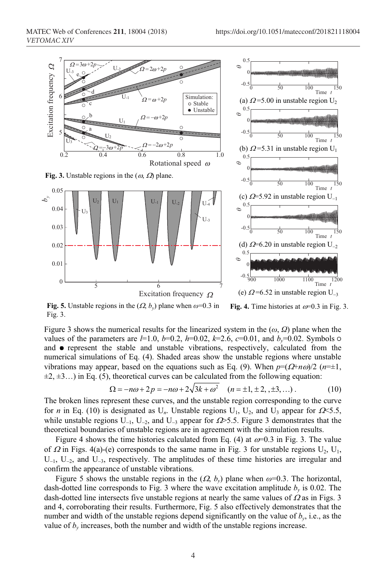

Fig. 4. Time histories at  $\omega$ =0.3 in Fig. 3. Fig. 5. Unstable regions in the  $(Q, b_v)$  plane when  $\omega$ =0.3 in Fig. 3.

Figure 3 shows the numerical results for the linearized system in the  $(\omega, \Omega)$  plane when the values of the parameters are  $l=1.0$ ,  $b=0.2$ ,  $h=0.02$ ,  $k=2.6$ ,  $c=0.01$ , and  $b_v=0.02$ . Symbols  $\circ$ and  $\bullet$  represent the stable and unstable vibrations, respectively, calculated from the numerical simulations of Eq. (4). Shaded areas show the unstable regions where unstable vibrations may appear, based on the equations such as Eq. (9). When  $p=(\Omega+n\omega)/2$  ( $n=\pm 1$ ,  $\pm 2, \pm 3...$ ) in Eq. (5), theoretical curves can be calculated from the following equation:

$$
\Omega = -n\omega + 2p = -n\omega + 2\sqrt{3k + \omega^2} \quad (n = \pm 1, \pm 2, \pm 3, \ldots). \tag{10}
$$

The broken lines represent these curves, and the unstable region corresponding to the curve for *n* in Eq. (10) is designated as  $U_n$ . Unstable regions  $U_1$ ,  $U_2$ , and  $U_3$  appear for  $\Omega \leq 5.5$ , while unstable regions  $U_{-1}$ ,  $U_{-2}$ , and  $U_{-3}$  appear for  $\Omega$ >5.5. Figure 3 demonstrates that the theoretical boundaries of unstable regions are in agreement with the simulation results.

Figure 4 shows the time histories calculated from Eq. (4) at  $\omega$ =0.3 in Fig. 3. The value of  $\Omega$  in Figs. 4(a)-(e) corresponds to the same name in Fig. 3 for unstable regions  $U_2$ ,  $U_1$ ,  $U_{-1}$ ,  $U_{-2}$ , and  $U_{-3}$ , respectively. The amplitudes of these time histories are irregular and confirm the appearance of unstable vibrations.

Figure 5 shows the unstable regions in the  $(\Omega, b_v)$  plane when  $\omega$ =0.3. The horizontal, dash-dotted line corresponds to Fig. 3 where the wave excitation amplitude  $b<sub>y</sub>$  is 0.02. The dash-dotted line intersects five unstable regions at nearly the same values of  $\Omega$  as in Figs. 3 and 4, corroborating their results. Furthermore, Fig. 5 also effectively demonstrates that the number and width of the unstable regions depend significantly on the value of *by*, i.e., as the value of  $b_y$  increases, both the number and width of the unstable regions increase.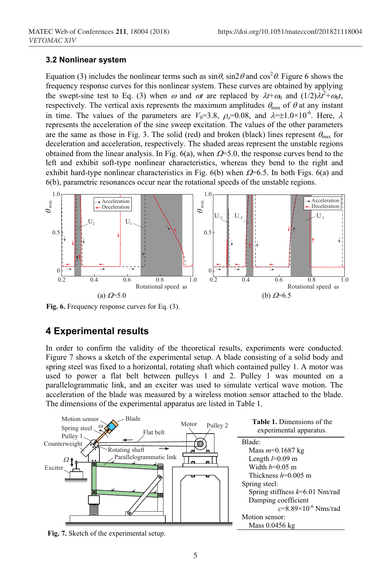#### 3.2 Nonlinear system

Equation (3) includes the nonlinear terms such as  $\sin\theta$ ,  $\sin 2\theta$  and  $\cos^2\theta$ . Figure 6 shows the frequency response curves for this nonlinear system. These curves are obtained by applying the swept-sine test to Eq. (3) when  $\omega$  and  $\omega t$  are replaced by  $\lambda t + \omega_0$  and  $(1/2)\lambda t^2 + \omega_0 t$ , respectively. The vertical axis represents the maximum amplitudes  $\theta_{\text{max}}$  of  $\theta$  at any instant in time. The values of the parameters are  $V_0=3.8$ ,  $\rho_a=0.08$ , and  $\lambda=\pm 1.0\times 10^{-6}$ . Here,  $\lambda$ represents the acceleration of the sine sweep excitation. The values of the other parameters are the same as those in Fig. 3. The solid (red) and broken (black) lines represent  $\theta_{\text{max}}$  for deceleration and acceleration, respectively. The shaded areas represent the unstable regions obtained from the linear analysis. In Fig.  $6(a)$ , when  $\Omega = 5.0$ , the response curves bend to the left and exhibit soft-type nonlinear characteristics, whereas they bend to the right and exhibit hard-type nonlinear characteristics in Fig.  $6(b)$  when  $\Omega$ =6.5. In both Figs. 6(a) and 6(b), parametric resonances occur near the rotational speeds of the unstable regions.



Fig. 6. Frequency response curves for Eq. (3).

## **4 Experimental results**

In order to confirm the validity of the theoretical results, experiments were conducted. Figure 7 shows a sketch of the experimental setup. A blade consisting of a solid body and spring steel was fixed to a horizontal, rotating shaft which contained pulley 1. A motor was used to power a flat belt between pulleys 1 and 2. Pulley 1 was mounted on a parallelogrammatic link, and an exciter was used to simulate vertical wave motion. The acceleration of the blade was measured by a wireless motion sensor attached to the blade. The dimensions of the experimental apparatus are listed in Table 1.



Fig. 7. Sketch of the experimental setup.